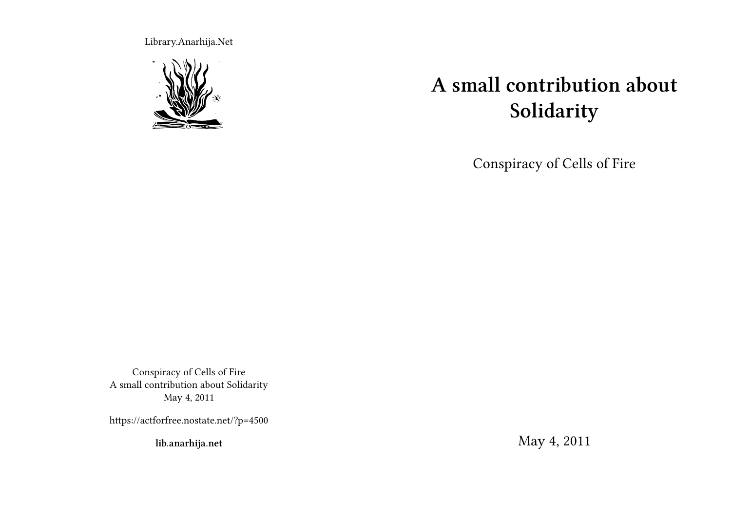Library.Anarhija.Net



# **A small contribution about Solidarity**

Conspiracy of Cells of Fire

Conspiracy of Cells of Fire A small contribution about Solidarity May 4, 2011

https://actforfree.nostate.net/?p=4500

**lib.anarhija.net**

May 4, 2011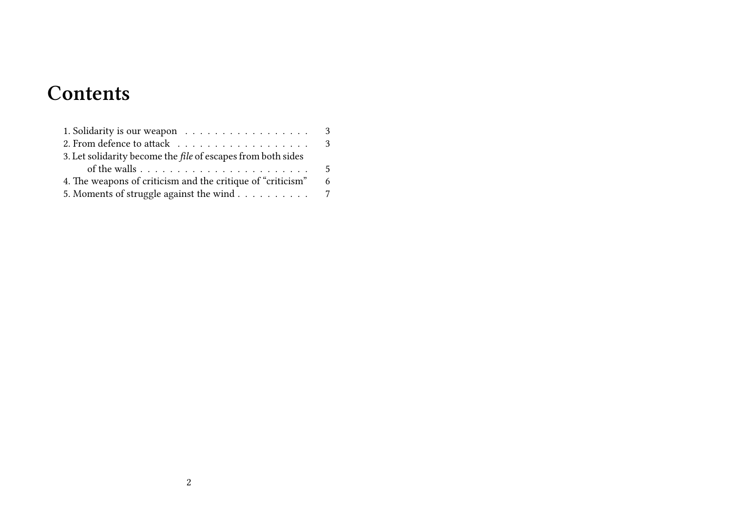## **Contents**

| 3. Let solidarity become the file of escapes from both sides |     |
|--------------------------------------------------------------|-----|
|                                                              | - 5 |
| 4. The weapons of criticism and the critique of "criticism"  | - 6 |
| 5. Moments of struggle against the wind 7                    |     |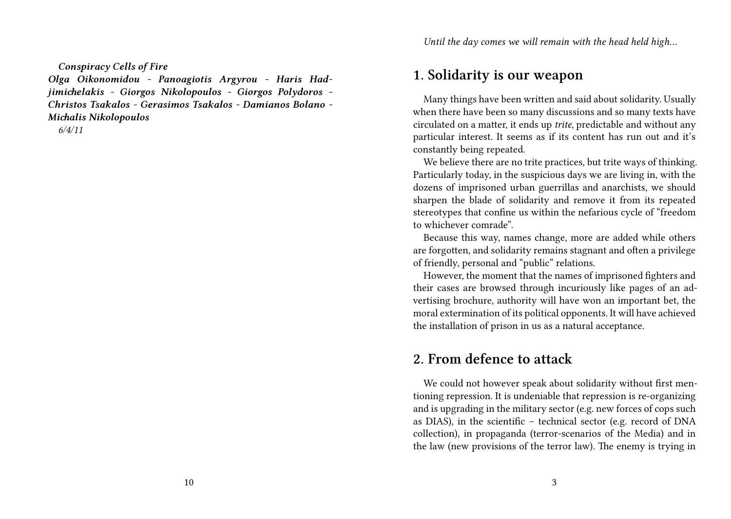*Conspiracy Cells of Fire*

*Olga Oikonomidou - Panoagiotis Argyrou - Haris Hadjimichelakis - Giorgos Nikolopoulos - Giorgos Polydoros - Christos Tsakalos - Gerasimos Tsakalos - Damianos Bolano - Michalis Nikolopoulos*

*6/4/11*

#### **1. Solidarity is our weapon**

Many things have been written and said about solidarity. Usually when there have been so many discussions and so many texts have circulated on a matter, it ends up *trite*, predictable and without any particular interest. It seems as if its content has run out and it's constantly being repeated.

We believe there are no trite practices, but trite ways of thinking. Particularly today, in the suspicious days we are living in, with the dozens of imprisoned urban guerrillas and anarchists, we should sharpen the blade of solidarity and remove it from its repeated stereotypes that confine us within the nefarious cycle of "freedom to whichever comrade".

Because this way, names change, more are added while others are forgotten, and solidarity remains stagnant and often a privilege of friendly, personal and "public" relations.

However, the moment that the names of imprisoned fighters and their cases are browsed through incuriously like pages of an advertising brochure, authority will have won an important bet, the moral extermination of its political opponents. It will have achieved the installation of prison in us as a natural acceptance.

#### **2. From defence to attack**

We could not however speak about solidarity without first mentioning repression. It is undeniable that repression is re-organizing and is upgrading in the military sector (e.g. new forces of cops such as DIAS), in the scientific – technical sector (e.g. record of DNA collection), in propaganda (terror-scenarios of the Media) and in the law (new provisions of the terror law). The enemy is trying in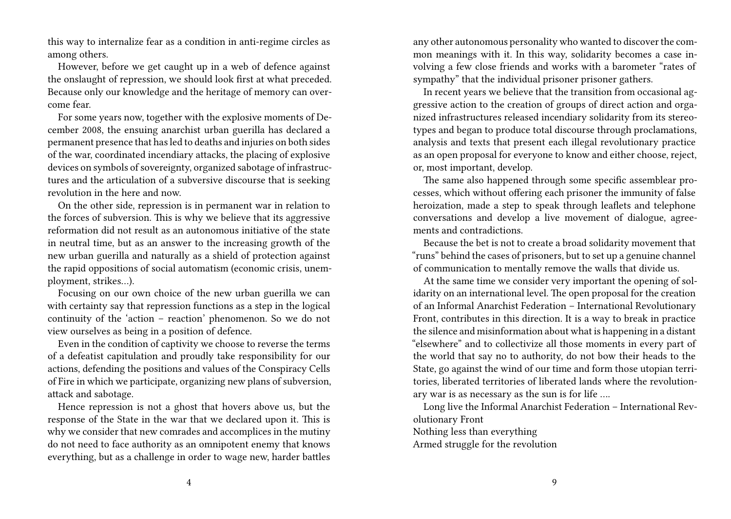this way to internalize fear as a condition in anti-regime circles as among others.

However, before we get caught up in a web of defence against the onslaught of repression, we should look first at what preceded. Because only our knowledge and the heritage of memory can overcome fear.

For some years now, together with the explosive moments of December 2008, the ensuing anarchist urban guerilla has declared a permanent presence that has led to deaths and injuries on both sides of the war, coordinated incendiary attacks, the placing of explosive devices on symbols of sovereignty, organized sabotage of infrastructures and the articulation of a subversive discourse that is seeking revolution in the here and now.

On the other side, repression is in permanent war in relation to the forces of subversion. This is why we believe that its aggressive reformation did not result as an autonomous initiative of the state in neutral time, but as an answer to the increasing growth of the new urban guerilla and naturally as a shield of protection against the rapid oppositions of social automatism (economic crisis, unemployment, strikes…).

Focusing on our own choice of the new urban guerilla we can with certainty say that repression functions as a step in the logical continuity of the 'action – reaction' phenomenon. So we do not view ourselves as being in a position of defence.

Even in the condition of captivity we choose to reverse the terms of a defeatist capitulation and proudly take responsibility for our actions, defending the positions and values of the Conspiracy Cells of Fire in which we participate, organizing new plans of subversion, attack and sabotage.

Hence repression is not a ghost that hovers above us, but the response of the State in the war that we declared upon it. This is why we consider that new comrades and accomplices in the mutiny do not need to face authority as an omnipotent enemy that knows everything, but as a challenge in order to wage new, harder battles

any other autonomous personality who wanted to discover the common meanings with it. In this way, solidarity becomes a case involving a few close friends and works with a barometer "rates of sympathy" that the individual prisoner prisoner gathers.

In recent years we believe that the transition from occasional aggressive action to the creation of groups of direct action and organized infrastructures released incendiary solidarity from its stereotypes and began to produce total discourse through proclamations, analysis and texts that present each illegal revolutionary practice as an open proposal for everyone to know and either choose, reject, or, most important, develop.

The same also happened through some specific assemblear processes, which without offering each prisoner the immunity of false heroization, made a step to speak through leaflets and telephone conversations and develop a live movement of dialogue, agreements and contradictions.

Because the bet is not to create a broad solidarity movement that "runs" behind the cases of prisoners, but to set up a genuine channel of communication to mentally remove the walls that divide us.

At the same time we consider very important the opening of solidarity on an international level. The open proposal for the creation of an Informal Anarchist Federation – International Revolutionary Front, contributes in this direction. It is a way to break in practice the silence and misinformation about what is happening in a distant "elsewhere" and to collectivize all those moments in every part of the world that say no to authority, do not bow their heads to the State, go against the wind of our time and form those utopian territories, liberated territories of liberated lands where the revolutionary war is as necessary as the sun is for life ….

Long live the Informal Anarchist Federation – International Revolutionary Front

Nothing less than everything

Armed struggle for the revolution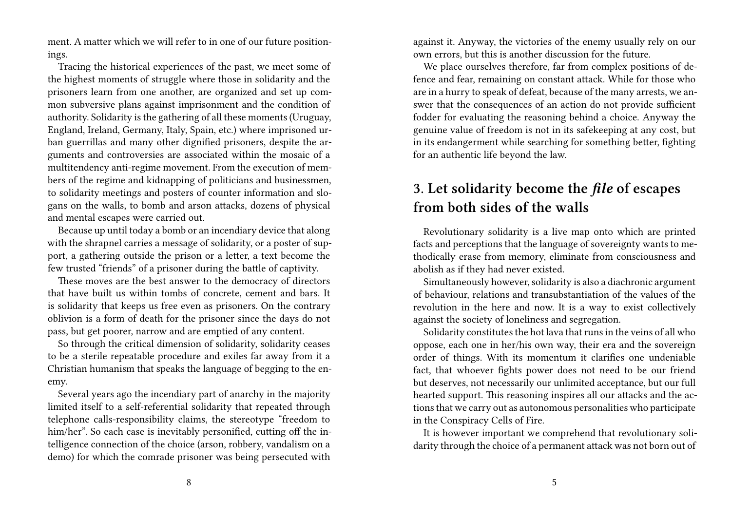ment. A matter which we will refer to in one of our future positionings.

Tracing the historical experiences of the past, we meet some of the highest moments of struggle where those in solidarity and the prisoners learn from one another, are organized and set up common subversive plans against imprisonment and the condition of authority. Solidarity is the gathering of all these moments (Uruguay, England, Ireland, Germany, Italy, Spain, etc.) where imprisoned urban guerrillas and many other dignified prisoners, despite the arguments and controversies are associated within the mosaic of a multitendency anti-regime movement. From the execution of members of the regime and kidnapping of politicians and businessmen, to solidarity meetings and posters of counter information and slogans on the walls, to bomb and arson attacks, dozens of physical and mental escapes were carried out.

Because up until today a bomb or an incendiary device that along with the shrapnel carries a message of solidarity, or a poster of support, a gathering outside the prison or a letter, a text become the few trusted "friends" of a prisoner during the battle of captivity.

These moves are the best answer to the democracy of directors that have built us within tombs of concrete, cement and bars. It is solidarity that keeps us free even as prisoners. On the contrary oblivion is a form of death for the prisoner since the days do not pass, but get poorer, narrow and are emptied of any content.

So through the critical dimension of solidarity, solidarity ceases to be a sterile repeatable procedure and exiles far away from it a Christian humanism that speaks the language of begging to the enemy.

Several years ago the incendiary part of anarchy in the majority limited itself to a self-referential solidarity that repeated through telephone calls-responsibility claims, the stereotype "freedom to him/her". So each case is inevitably personified, cutting off the intelligence connection of the choice (arson, robbery, vandalism on a demo) for which the comrade prisoner was being persecuted with

against it. Anyway, the victories of the enemy usually rely on our own errors, but this is another discussion for the future.

We place ourselves therefore, far from complex positions of defence and fear, remaining on constant attack. While for those who are in a hurry to speak of defeat, because of the many arrests, we answer that the consequences of an action do not provide sufficient fodder for evaluating the reasoning behind a choice. Anyway the genuine value of freedom is not in its safekeeping at any cost, but in its endangerment while searching for something better, fighting for an authentic life beyond the law.

### **3. Let solidarity become the** *file* **of escapes from both sides of the walls**

Revolutionary solidarity is a live map onto which are printed facts and perceptions that the language of sovereignty wants to methodically erase from memory, eliminate from consciousness and abolish as if they had never existed.

Simultaneously however, solidarity is also a diachronic argument of behaviour, relations and transubstantiation of the values of the revolution in the here and now. It is a way to exist collectively against the society of loneliness and segregation.

Solidarity constitutes the hot lava that runs in the veins of all who oppose, each one in her/his own way, their era and the sovereign order of things. With its momentum it clarifies one undeniable fact, that whoever fights power does not need to be our friend but deserves, not necessarily our unlimited acceptance, but our full hearted support. This reasoning inspires all our attacks and the actions that we carry out as autonomous personalities who participate in the Conspiracy Cells of Fire.

It is however important we comprehend that revolutionary solidarity through the choice of a permanent attack was not born out of